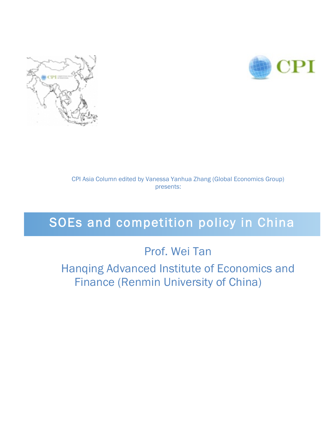



CPI Asia Column edited by Vanessa Yanhua Zhang (Global Economics Group) presents:

# SOEs and competition policy in China

## Prof. Wei Tan

Hanqing Advanced Institute of Economics and Finance (Renmin University of China)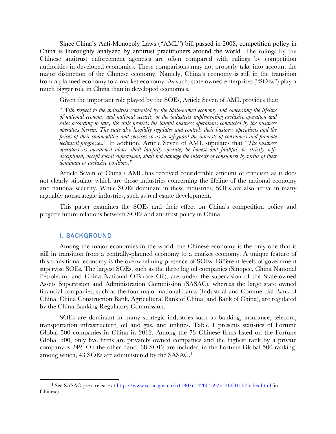Since China's Anti-Monopoly Laws ("AML") bill passed in 2008, competition policy in China is thoroughly analyzed by antitrust practitioners around the world. The rulings by the Chinese antitrust enforcement agencies are often compared with rulings by competition authorities in developed economies. These comparisons may not properly take into account the major distinction of the Chinese economy. Namely, China's economy is still in the transition from a planned economy to a market economy. As such, state owned enterprises ("SOEs") play a much bigger role in China than in developed economies.

Given the important role played by the SOEs, Article Seven of AML provides that:

"*With respect to the industries controlled by the State-owned economy and concerning the lifeline of national economy and national security or the industries implementing exclusive operation and sales according to law, the state protects the lawful business operations conducted by the business operators therein. The state also lawfully regulates and controls their business operations and the prices of their commodities and services so as to safeguard the interests of consumers and promote technical progresses.*" In addition, Article Seven of AML stipulates that "*The business operators as mentioned above shall lawfully operate, be honest and faithful, be strictly selfdisciplined, accept social supervision, shall not damage the interests of consumers by virtue of their dominant or exclusive positions*."

Article Seven of China's AML has received considerable amount of criticism as it does not clearly stipulate which are those industries concerning the lifeline of the national economy and national security. While SOEs dominate in these industries, SOEs are also active in many arguably nonstrategic industries, such as real estate development.

This paper examines the SOEs and their effect on China's competition policy and projects future relations between SOEs and antitrust policy in China.

#### I. BACKGROUND

 

Among the major economies in the world, the Chinese economy is the only one that is still in transition from a centrally-planned economy to a market economy. A unique feature of this transitional economy is the overwhelming presence of SOEs. Different levels of government supervise SOEs. The largest SOEs, such as the three big oil companies (Sinopec, China National Petroleum, and China National Offshore Oil), are under the supervision of the State-owned Assets Supervision and Administration Commission (SASAC), whereas the large state owned financial companies, such as the four major national banks (Industrial and Commercial Bank of China, China Construction Bank, Agricultural Bank of China, and Bank of China), are regulated by the China Banking Regulatory Commission.

SOEs are dominant in many strategic industries such as banking, insurance, telecom, transportation infrastructure, oil and gas, and utilities. Table 1 presents statistics of Fortune Global 500 companies in China in 2012. Among the 73 Chinese firms listed on the Fortune Global 500, only five firms are privately owned companies and the highest rank by a private company is 242. On the other hand, 68 SOEs are included in the Fortune Global 500 ranking, among which, 43 SOEs are administered by the SASAC. 1

<sup>1</sup> See SASAC press release at http://www.sasac.gov.cn/n1180/n14200459/n14669156/index.html (in Chinese).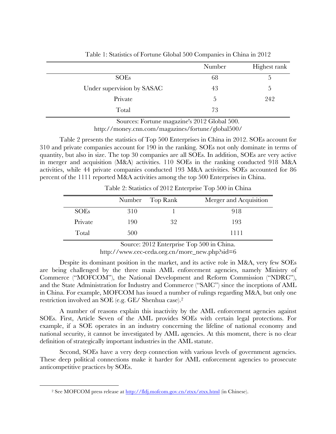|                            | Number | Highest rank |
|----------------------------|--------|--------------|
| <b>SOEs</b>                | 68     |              |
| Under supervision by SASAC | 43     | .5           |
| Private                    | 5      | 242          |
| Total                      | 73     |              |

Table 1: Statistics of Fortune Global 500 Companies in China in 2012

Sources: Fortune magazine's 2012 Global 500.

http://money.cnn.com/magazines/fortune/global500/

Table 2 presents the statistics of Top 500 Enterprises in China in 2012. SOEs account for 310 and private companies account for 190 in the ranking. SOEs not only dominate in terms of quantity, but also in size. The top 30 companies are all SOEs. In addition, SOEs are very active in merger and acquisition (M&A) activities. 110 SOEs in the ranking conducted 918 M&A activities, while 44 private companies conducted 193 M&A activities. SOEs accounted for 86 percent of the 1111 reported M&A activities among the top 500 Enterprises in China.

Number Top Rank Merger and Acquisition SOEs 310 1 918 Private 190 32 193 Total 500 1111

Table 2: Statistics of 2012 Enterprise Top 500 in China

Source: 2012 Enterprise Top 500 in China. http://www.cec-ceda.org.cn/more\_new.php?sid=6

Despite its dominant position in the market, and its active role in M&A, very few SOEs are being challenged by the three main AML enforcement agencies, namely Ministry of Commerce ("MOFCOM"), the National Development and Reform Commission ("NDRC"), and the State Administration for Industry and Commerce ("SAIC") since the inceptions of AML in China. For example, MOFCOM has issued a number of rulings regarding M&A, but only one restriction involved an SOE (e.g. GE/ Shenhua case).2

A number of reasons explain this inactivity by the AML enforcement agencies against SOEs. First, Article Seven of the AML provides SOEs with certain legal protections. For example, if a SOE operates in an industry concerning the lifeline of national economy and national security, it cannot be investigated by AML agencies. At this moment, there is no clear definition of strategically important industries in the AML statute.

Second, SOEs have a very deep connection with various levels of government agencies. These deep political connections make it harder for AML enforcement agencies to prosecute anticompetitive practices by SOEs.

 

<sup>2</sup> See MOFCOM press release at http://fldj.mofcom.gov.cn/ztxx/ztxx.html (in Chinese).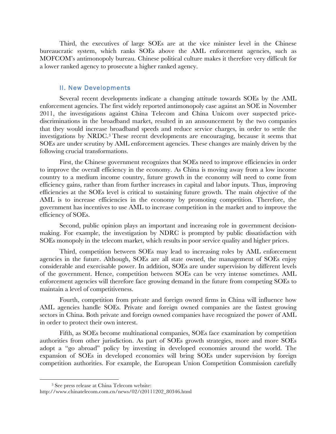Third, the executives of large SOEs are at the vice minister level in the Chinese bureaucratic system, which ranks SOEs above the AML enforcement agencies, such as MOFCOM's antimonopoly bureau. Chinese political culture makes it therefore very difficult for a lower ranked agency to prosecute a higher ranked agency.

#### II. New Developments

Several recent developments indicate a changing attitude towards SOEs by the AML enforcement agencies. The first widely reported antimonopoly case against an SOE in November 2011, the investigations against China Telecom and China Unicom over suspected pricediscriminations in the broadband market, resulted in an announcement by the two companies that they would increase broadband speeds and reduce service charges, in order to settle the investigations by NRDC. <sup>3</sup> These recent developments are encouraging, because it seems that SOEs are under scrutiny by AML enforcement agencies. These changes are mainly driven by the following crucial transformations.

First, the Chinese government recognizes that SOEs need to improve efficiencies in order to improve the overall efficiency in the economy. As China is moving away from a low income country to a medium income country, future growth in the economy will need to come from efficiency gains, rather than from further increases in capital and labor inputs. Thus, improving efficiencies at the SOEs level is critical to sustaining future growth. The main objective of the AML is to increase efficiencies in the economy by promoting competition. Therefore, the government has incentives to use AML to increase competition in the market and to improve the efficiency of SOEs.

Second, public opinion plays an important and increasing role in government decisionmaking. For example, the investigation by NDRC is prompted by public dissatisfaction with SOEs monopoly in the telecom market, which results in poor service quality and higher prices.

Third, competition between SOEs may lead to increasing roles by AML enforcement agencies in the future. Although, SOEs are all state owned, the management of SOEs enjoy considerable and exercisable power. In addition, SOEs are under supervision by different levels of the government. Hence, competition between SOEs can be very intense sometimes. AML enforcement agencies will therefore face growing demand in the future from competing SOEs to maintain a level of competitiveness.

Fourth, competition from private and foreign owned firms in China will influence how AML agencies handle SOEs. Private and foreign owned companies are the fastest growing sectors in China. Both private and foreign owned companies have recognized the power of AML in order to protect their own interest.

Fifth, as SOEs become multinational companies, SOEs face examination by competition authorities from other jurisdiction. As part of SOEs growth strategies, more and more SOEs adopt a "go abroad" policy by investing in developed economies around the world. The expansion of SOEs in developed economies will bring SOEs under supervision by foreign competition authorities. For example, the European Union Competition Commission carefully

 

<sup>3</sup> See press release at China Telecom website: http://www.chinatelecom.com.cn/news/02/t20111202\_80346.html